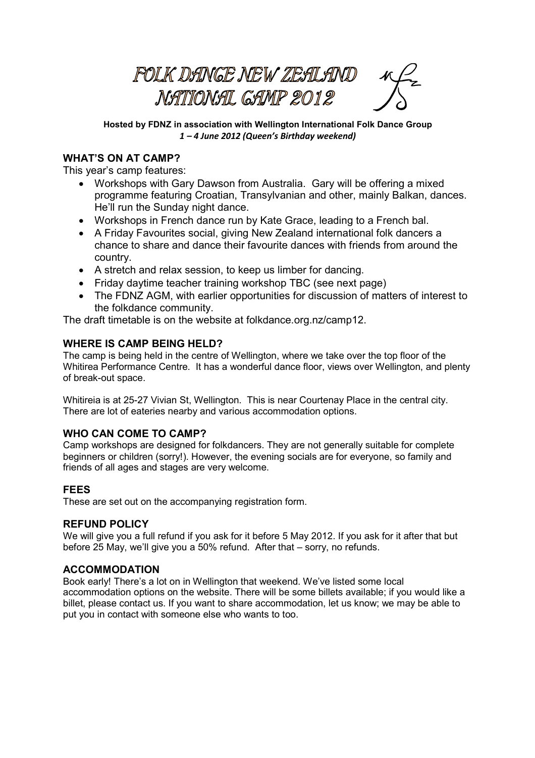**FOLK DANGE NEW ZEALAND** NATIONAL GAMP 2012

**Hosted by FDNZ in association with Wellington International Folk Dance Group**  *1 – 4 June 2012 (Queen's Birthday weekend)* 

# **WHAT'S ON AT CAMP?**

This year's camp features:

- Workshops with Gary Dawson from Australia. Gary will be offering a mixed programme featuring Croatian, Transylvanian and other, mainly Balkan, dances. He'll run the Sunday night dance.
- Workshops in French dance run by Kate Grace, leading to a French bal.
- A Friday Favourites social, giving New Zealand international folk dancers a chance to share and dance their favourite dances with friends from around the country.
- A stretch and relax session, to keep us limber for dancing.
- Friday daytime teacher training workshop TBC (see next page)
- The FDNZ AGM, with earlier opportunities for discussion of matters of interest to the folkdance community.

The draft timetable is on the website at folkdance.org.nz/camp12.

### **WHERE IS CAMP BEING HELD?**

The camp is being held in the centre of Wellington, where we take over the top floor of the Whitirea Performance Centre. It has a wonderful dance floor, views over Wellington, and plenty of break-out space.

Whitireia is at 25-27 Vivian St, Wellington. This is near Courtenay Place in the central city. There are lot of eateries nearby and various accommodation options.

### **WHO CAN COME TO CAMP?**

Camp workshops are designed for folkdancers. They are not generally suitable for complete beginners or children (sorry!). However, the evening socials are for everyone, so family and friends of all ages and stages are very welcome.

### **FEES**

These are set out on the accompanying registration form.

### **REFUND POLICY**

We will give you a full refund if you ask for it before 5 May 2012. If you ask for it after that but before 25 May, we'll give you a 50% refund. After that – sorry, no refunds.

### **ACCOMMODATION**

Book early! There's a lot on in Wellington that weekend. We've listed some local accommodation options on the website. There will be some billets available; if you would like a billet, please contact us. If you want to share accommodation, let us know; we may be able to put you in contact with someone else who wants to too.